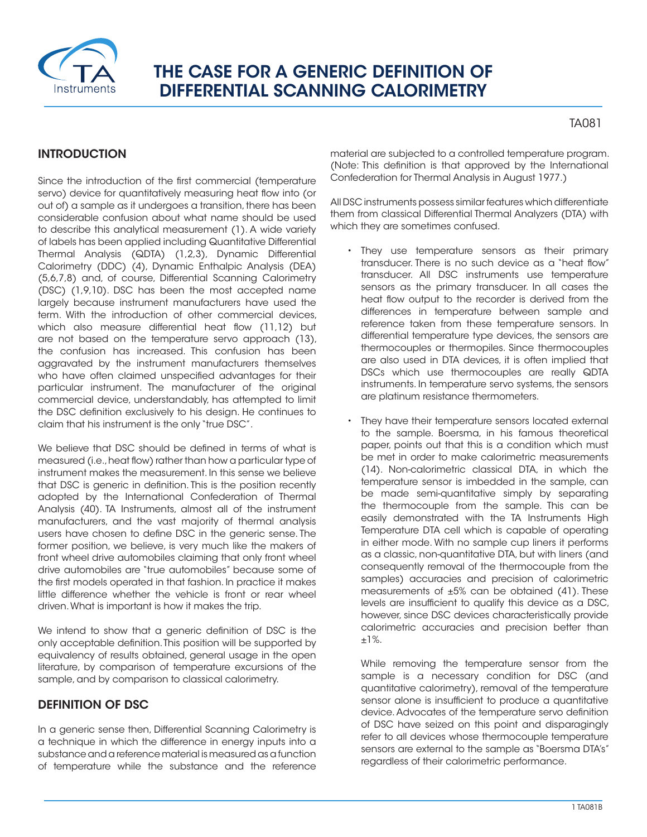

# THE CASE FOR A GENERIC DEFINITION OF DIFFERENTIAL SCANNING CALORIMETRY

# TA081

# INTRODUCTION

Since the introduction of the first commercial (temperature servo) device for quantitatively measuring heat flow into (or out of) a sample as it undergoes a transition, there has been considerable confusion about what name should be used to describe this analytical measurement (1). A wide variety of labels has been applied including Quantitative Differential Thermal Analysis (QDTA) (1,2,3), Dynamic Differential Calorimetry (DDC) (4), Dynamic Enthalpic Analysis (DEA) (5,6,7,8) and, of course, Differential Scanning Calorimetry (DSC) (1,9,10). DSC has been the most accepted name largely because instrument manufacturers have used the term. With the introduction of other commercial devices, which also measure differential heat flow (11,12) but are not based on the temperature servo approach (13), the confusion has increased. This confusion has been aggravated by the instrument manufacturers themselves who have often claimed unspecified advantages for their particular instrument. The manufacturer of the original commercial device, understandably, has attempted to limit the DSC definition exclusively to his design. He continues to claim that his instrument is the only "true DSC".

We believe that DSC should be defined in terms of what is measured (i.e., heat flow) rather than how a particular type of instrument makes the measurement. In this sense we believe that DSC is generic in definition. This is the position recently adopted by the International Confederation of Thermal Analysis (40). TA Instruments, almost all of the instrument manufacturers, and the vast majority of thermal analysis users have chosen to define DSC in the generic sense. The former position, we believe, is very much like the makers of front wheel drive automobiles claiming that only front wheel drive automobiles are "true automobiles" because some of the first models operated in that fashion. In practice it makes little difference whether the vehicle is front or rear wheel driven. What is important is how it makes the trip.

We intend to show that a generic definition of DSC is the only acceptable definition. This position will be supported by equivalency of results obtained, general usage in the open literature, by comparison of temperature excursions of the sample, and by comparison to classical calorimetry.

# DEFINITION OF DSC

In a generic sense then, Differential Scanning Calorimetry is a technique in which the difference in energy inputs into a substance and a reference material is measured as a function of temperature while the substance and the reference material are subjected to a controlled temperature program. (Note: This definition is that approved by the International Confederation for Thermal Analysis in August 1977.)

All DSC instruments possess similar features which differentiate them from classical Differential Thermal Analyzers (DTA) with which they are sometimes confused.

- They use temperature sensors as their primary transducer. There is no such device as a "heat flow" transducer. All DSC instruments use temperature sensors as the primary transducer. In all cases the heat flow output to the recorder is derived from the differences in temperature between sample and reference taken from these temperature sensors. In differential temperature type devices, the sensors are thermocouples or thermopiles. Since thermocouples are also used in DTA devices, it is often implied that DSCs which use thermocouples are really QDTA instruments. In temperature servo systems, the sensors are platinum resistance thermometers.
- They have their temperature sensors located external to the sample. Boersma, in his famous theoretical paper, points out that this is a condition which must be met in order to make calorimetric measurements (14). Non-calorimetric classical DTA, in which the temperature sensor is imbedded in the sample, can be made semi-quantitative simply by separating the thermocouple from the sample. This can be easily demonstrated with the TA Instruments High Temperature DTA cell which is capable of operating in either mode. With no sample cup liners it performs as a classic, non-quantitative DTA, but with liners (and consequently removal of the thermocouple from the samples) accuracies and precision of calorimetric measurements of  $\pm 5\%$  can be obtained (41). These levels are insufficient to qualify this device as a DSC, however, since DSC devices characteristically provide calorimetric accuracies and precision better than ±1%.

While removing the temperature sensor from the sample is a necessary condition for DSC (and quantitative calorimetry), removal of the temperature sensor alone is insufficient to produce a quantitative device. Advocates of the temperature servo definition of DSC have seized on this point and disparagingly refer to all devices whose thermocouple temperature sensors are external to the sample as "Boersma DTA's" regardless of their calorimetric performance.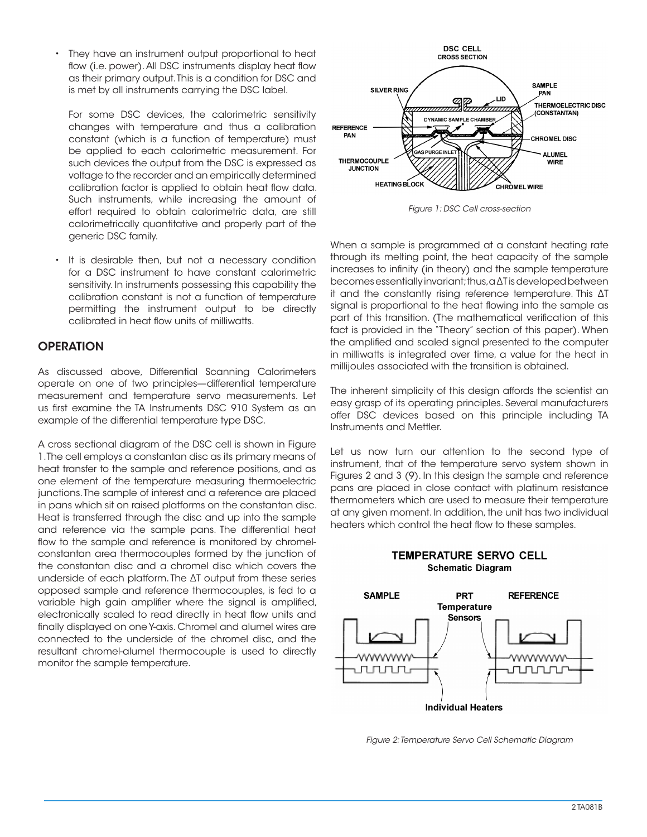• They have an instrument output proportional to heat flow (i.e. power). All DSC instruments display heat flow as their primary output. This is a condition for DSC and is met by all instruments carrying the DSC label.

For some DSC devices, the calorimetric sensitivity changes with temperature and thus a calibration constant (which is a function of temperature) must be applied to each calorimetric measurement. For such devices the output from the DSC is expressed as voltage to the recorder and an empirically determined calibration factor is applied to obtain heat flow data. Such instruments, while increasing the amount of effort required to obtain calorimetric data, are still calorimetrically quantitative and properly part of the generic DSC family.

• It is desirable then, but not a necessary condition for a DSC instrument to have constant calorimetric sensitivity. In instruments possessing this capability the calibration constant is not a function of temperature permitting the instrument output to be directly calibrated in heat flow units of milliwatts.

## **OPERATION**

As discussed above, Differential Scanning Calorimeters operate on one of two principles—differential temperature measurement and temperature servo measurements. Let us first examine the TA Instruments DSC 910 System as an example of the differential temperature type DSC.

A cross sectional diagram of the DSC cell is shown in Figure 1. The cell employs a constantan disc as its primary means of heat transfer to the sample and reference positions, and as one element of the temperature measuring thermoelectric junctions. The sample of interest and a reference are placed in pans which sit on raised platforms on the constantan disc. Heat is transferred through the disc and up into the sample and reference via the sample pans. The differential heat flow to the sample and reference is monitored by chromelconstantan area thermocouples formed by the junction of the constantan disc and a chromel disc which covers the underside of each platform. The ΔT output from these series opposed sample and reference thermocouples, is fed to a variable high gain amplifier where the signal is amplified, electronically scaled to read directly in heat flow units and finally displayed on one Y-axis. Chromel and alumel wires are connected to the underside of the chromel disc, and the resultant chromel-alumel thermocouple is used to directly monitor the sample temperature.



*Figure 1: DSC Cell cross-section*

When a sample is programmed at a constant heating rate through its melting point, the heat capacity of the sample increases to infinity (in theory) and the sample temperature becomes essentially invariant; thus, a ΔT is developed between it and the constantly rising reference temperature. This ΔT signal is proportional to the heat flowing into the sample as part of this transition. (The mathematical verification of this fact is provided in the "Theory" section of this paper). When the amplified and scaled signal presented to the computer in milliwatts is integrated over time, a value for the heat in millijoules associated with the transition is obtained.

The inherent simplicity of this design affords the scientist an easy grasp of its operating principles. Several manufacturers offer DSC devices based on this principle including TA Instruments and Mettler.

Let us now turn our attention to the second type of instrument, that of the temperature servo system shown in Figures 2 and 3 (9). In this design the sample and reference pans are placed in close contact with platinum resistance thermometers which are used to measure their temperature at any given moment. In addition, the unit has two individual heaters which control the heat flow to these samples.

#### **TEMPERATURE SERVO CELL Schematic Diagram**



*Figure 2: Temperature Servo Cell Schematic Diagram*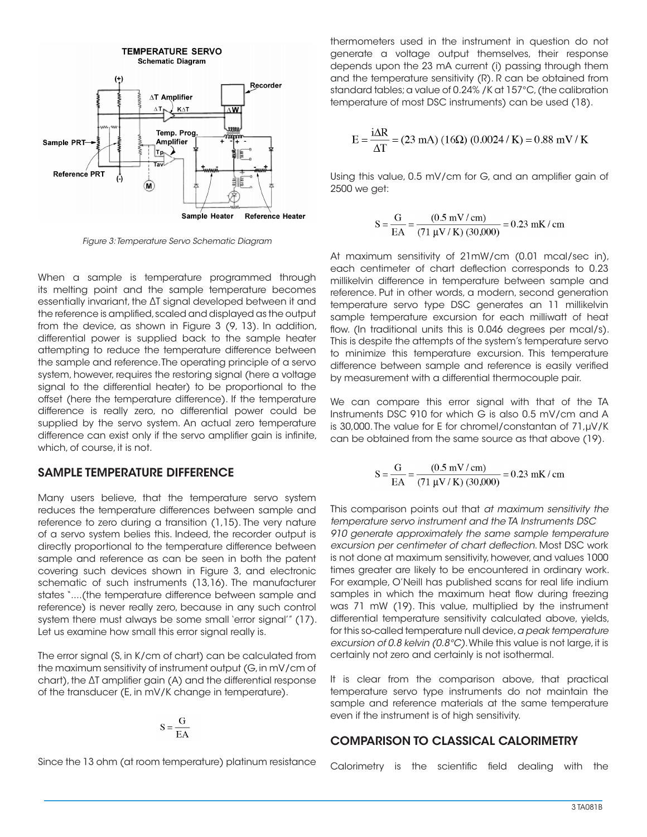

*Figure 3: Temperature Servo Schematic Diagram*

When a sample is temperature programmed through its melting point and the sample temperature becomes essentially invariant, the ΔT signal developed between it and the reference is amplified, scaled and displayed as the output from the device, as shown in Figure 3 (9, 13). In addition, differential power is supplied back to the sample heater attempting to reduce the temperature difference between the sample and reference. The operating principle of a servo system, however, requires the restoring signal (here a voltage signal to the differential heater) to be proportional to the offset (here the temperature difference). If the temperature difference is really zero, no differential power could be supplied by the servo system. An actual zero temperature difference can exist only if the servo amplifier gain is infinite, which, of course, it is not.

#### SAMPLE TEMPERATURE DIFFERENCE

Many users believe, that the temperature servo system reduces the temperature differences between sample and reference to zero during a transition (1,15). The very nature of a servo system belies this. Indeed, the recorder output is directly proportional to the temperature difference between sample and reference as can be seen in both the patent covering such devices shown in Figure 3, and electronic schematic of such instruments (13,16). The manufacturer states "....(the temperature difference between sample and reference) is never really zero, because in any such control system there must always be some small 'error signal'" (17). Let us examine how small this error signal really is.

The error signal (S, in K/cm of chart) can be calculated from the maximum sensitivity of instrument output (G, in mV/cm of chart), the ΔT amplifier gain (A) and the differential response of the transducer (E, in mV/K change in temperature).

$$
S = \frac{G}{EA}
$$

Since the 13 ohm (at room temperature) platinum resistance

thermometers used in the instrument in question do not generate a voltage output themselves, their response depends upon the 23 mA current (i) passing through them and the temperature sensitivity (R). R can be obtained from standard tables; a value of 0.24% /K at 157°C, (the calibration temperature of most DSC instruments) can be used (18).

$$
E = \frac{i\Delta R}{\Delta T} = (23 \text{ mA}) (16 \Omega) (0.0024 / \text{ K}) = 0.88 \text{ mV} / \text{K}
$$

Using this value, 0.5 mV/cm for G, and an amplifier gain of 2500 we get:

$$
S = \frac{G}{EA} = \frac{(0.5 \text{ mV}/\text{ cm})}{(71 \text{ }\text{µV}/\text{K}) (30,000)} = 0.23 \text{ mK}/\text{cm}
$$

At maximum sensitivity of 21mW/cm (0.01 mcal/sec in), each centimeter of chart deflection corresponds to 0.23 millikelvin difference in temperature between sample and reference. Put in other words, a modern, second generation temperature servo type DSC generates an 11 millikelvin sample temperature excursion for each milliwatt of heat flow. (In traditional units this is 0.046 degrees per mcal/s). This is despite the attempts of the system's temperature servo to minimize this temperature excursion. This temperature difference between sample and reference is easily verified by measurement with a differential thermocouple pair.

We can compare this error signal with that of the TA Instruments DSC 910 for which G is also 0.5 mV/cm and A is 30,000. The value for E for chromel/constantan of 71,µV/K can be obtained from the same source as that above (19).

$$
S = \frac{G}{EA} = \frac{(0.5 \text{ mV/cm})}{(71 \text{ }\mu\text{V/K}) (30,000)} = 0.23 \text{ mK/cm}
$$

This comparison points out that *at maximum sensitivity the temperature servo instrument and the TA Instruments DSC 910 generate approximately the same sample temperature excursion per centimeter of chart deflection*. Most DSC work is not done at maximum sensitivity, however, and values 1000 times greater are likely to be encountered in ordinary work. For example, O'Neill has published scans for real life indium samples in which the maximum heat flow during freezing was 71 mW (19). This value, multiplied by the instrument differential temperature sensitivity calculated above, yields, for this so-called temperature null device, *a peak temperature excursion of 0.8 kelvin (0.8°C)*. While this value is not large, it is certainly not zero and certainly is not isothermal.

It is clear from the comparison above, that practical temperature servo type instruments do not maintain the sample and reference materials at the same temperature even if the instrument is of high sensitivity.

#### COMPARISON TO CLASSICAL CALORIMETRY

Calorimetry is the scientific field dealing with the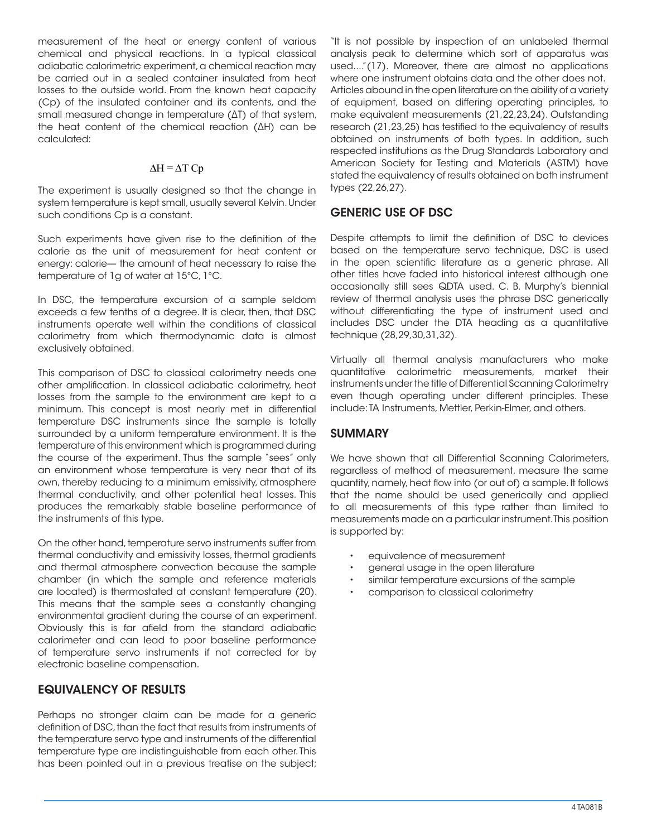measurement of the heat or energy content of various chemical and physical reactions. In a typical classical adiabatic calorimetric experiment, a chemical reaction may be carried out in a sealed container insulated from heat losses to the outside world. From the known heat capacity (Cp) of the insulated container and its contents, and the small measured change in temperature (ΔT) of that system, the heat content of the chemical reaction (ΔH) can be calculated:

#### $\Delta H = \Delta T Cp$

The experiment is usually designed so that the change in system temperature is kept small, usually several Kelvin. Under such conditions Cp is a constant.

Such experiments have given rise to the definition of the calorie as the unit of measurement for heat content or energy: calorie— the amount of heat necessary to raise the temperature of 1g of water at 15°C, 1°C.

In DSC, the temperature excursion of a sample seldom exceeds a few tenths of a degree. It is clear, then, that DSC instruments operate well within the conditions of classical calorimetry from which thermodynamic data is almost exclusively obtained.

This comparison of DSC to classical calorimetry needs one other amplification. In classical adiabatic calorimetry, heat losses from the sample to the environment are kept to a minimum. This concept is most nearly met in differential temperature DSC instruments since the sample is totally surrounded by a uniform temperature environment. It is the temperature of this environment which is programmed during the course of the experiment. Thus the sample "sees" only an environment whose temperature is very near that of its own, thereby reducing to a minimum emissivity, atmosphere thermal conductivity, and other potential heat losses. This produces the remarkably stable baseline performance of the instruments of this type.

On the other hand, temperature servo instruments suffer from thermal conductivity and emissivity losses, thermal gradients and thermal atmosphere convection because the sample chamber (in which the sample and reference materials are located) is thermostated at constant temperature (20). This means that the sample sees a constantly changing environmental gradient during the course of an experiment. Obviously this is far afield from the standard adiabatic calorimeter and can lead to poor baseline performance of temperature servo instruments if not corrected for by electronic baseline compensation.

## EQUIVALENCY OF RESULTS

Perhaps no stronger claim can be made for a generic definition of DSC, than the fact that results from instruments of the temperature servo type and instruments of the differential temperature type are indistinguishable from each other. This has been pointed out in a previous treatise on the subject; "It is not possible by inspection of an unlabeled thermal analysis peak to determine which sort of apparatus was used...."(17). Moreover, there are almost no applications where one instrument obtains data and the other does not. Articles abound in the open literature on the ability of a variety of equipment, based on differing operating principles, to make equivalent measurements (21,22,23,24). Outstanding research (21,23,25) has testified to the equivalency of results obtained on instruments of both types. In addition, such respected institutions as the Drug Standards Laboratory and American Society for Testing and Materials (ASTM) have stated the equivalency of results obtained on both instrument types (22,26,27).

# GENERIC USE OF DSC

Despite attempts to limit the definition of DSC to devices based on the temperature servo technique, DSC is used in the open scientific literature as a generic phrase. All other titles have faded into historical interest although one occasionally still sees QDTA used. C. B. Murphy's biennial review of thermal analysis uses the phrase DSC generically without differentiating the type of instrument used and includes DSC under the DTA heading as a quantitative technique (28,29,30,31,32).

Virtually all thermal analysis manufacturers who make quantitative calorimetric measurements, market their instruments under the title of Differential Scanning Calorimetry even though operating under different principles. These include: TA Instruments, Mettler, Perkin-Elmer, and others.

## SUMMARY

We have shown that all Differential Scanning Calorimeters, regardless of method of measurement, measure the same quantity, namely, heat flow into (or out of) a sample. It follows that the name should be used generically and applied to all measurements of this type rather than limited to measurements made on a particular instrument. This position is supported by:

- equivalence of measurement
- general usage in the open literature
- similar temperature excursions of the sample
- comparison to classical calorimetry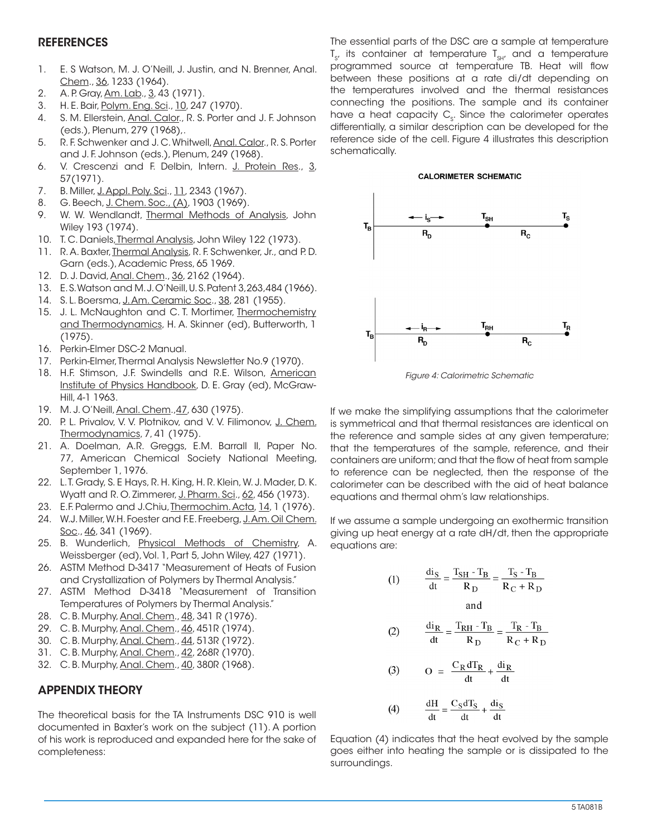#### **REFERENCES**

- 1. E. S Watson, M. J. O'Neill, J. Justin, and N. Brenner, Anal. Chem., 36, 1233 (1964).
- 2. A. P. Gray, Am. Lab., 3, 43 (1971).
- 3. H. E. Bair, Polym. Eng. Sci., 10, 247 (1970).
- 4. S. M. Ellerstein, Anal. Calor., R. S. Porter and J. F. Johnson (eds.), Plenum, 279 (1968),.
- 5. R. F. Schwenker and J. C. Whitwell, Anal. Calor., R. S. Porter and J. F. Johnson (eds.), Plenum, 249 (1968).
- 6. V. Crescenzi and F. Delbin, Intern. J. Protein Res., 3, 57(1971).
- 7. B. Miller, J. Appl. Poly. Sci., 11, 2343 (1967).
- 8. G. Beech, J. Chem. Soc., (A), 1903 (1969).
- 9. W. W. Wendlandt, Thermal Methods of Analysis, John Wiley 193 (1974).
- 10. T. C. Daniels, Thermal Analysis, John Wiley 122 (1973).
- 11. R. A. Baxter, Thermal Analysis, R. F. Schwenker, Jr., and P. D. Garn (eds.), Academic Press, 65 1969.
- 12. D. J. David, Anal. Chem., 36, 2162 (1964).
- 13. E. S. Watson and M. J. O'Neill, U. S. Patent 3,263,484 (1966).
- 14. S. L. Boersma, J. Am. Ceramic Soc., 38, 281 (1955).
- 15. J. L. McNaughton and C. T. Mortimer, Thermochemistry and Thermodynamics, H. A. Skinner (ed), Butterworth, 1 (1975).
- 16. Perkin-Elmer DSC-2 Manual.
- 17. Perkin-Elmer, Thermal Analysis Newsletter No.9 (1970).
- 18. H.F. Stimson, J.F. Swindells and R.E. Wilson, American Institute of Physics Handbook, D. E. Gray (ed), McGraw-Hill, 4-1 1963.
- 19. M. J. O'Neill, Anal. Chem.,47, 630 (1975).
- 20. P. L. Privalov, V. V. Plotnikov, and V. V. Filimonov, J. Chem. Thermodynamics, 7, 41 (1975).
- 21. A. Doelman, A.R. Greggs, E.M. Barrall II, Paper No. 77, American Chemical Society National Meeting, September 1, 1976.
- 22. L. T. Grady, S. E Hays, R. H. King, H. R. Klein, W. J. Mader, D. K. Wyatt and R. O. Zimmerer, J. Pharm. Sci., 62, 456 (1973).
- 23. E.F. Palermo and J.Chiu, Thermochim. Acta, 14, 1 (1976).
- 24. W.J. Miller, W.H. Foester and F.E. Freeberg, J. Am. Oil Chem. Soc., 46, 341 (1969).
- 25. B. Wunderlich, Physical Methods of Chemistry, A. Weissberger (ed), Vol. 1, Part 5, John Wiley, 427 (1971).
- 26. ASTM Method D-3417 "Measurement of Heats of Fusion and Crystallization of Polymers by Thermal Analysis."
- 27. ASTM Method D-3418 "Measurement of Transition Temperatures of Polymers by Thermal Analysis."
- 28. C. B. Murphy, Anal. Chem., 48, 341 R (1976).
- 29. C. B. Murphy, Anal. Chem., 46, 451R (1974).
- 30. C. B. Murphy, Anal. Chem., 44, 513R (1972).
- 31. C. B. Murphy, Anal. Chem., 42, 268R (1970).
- 32. C. B. Murphy, Anal. Chem., 40, 380R (1968).

# APPENDIX THEORY

The theoretical basis for the TA Instruments DSC 910 is well documented in Baxter's work on the subject (11). A portion of his work is reproduced and expanded here for the sake of completeness:

The essential parts of the DSC are a sample at temperature  ${\tt T}_{_{\sf S'}}$  its container at temperature  ${\tt T}_{_{\sf S}\!H'}$  and a temperature programmed source at temperature TB. Heat will flow between these positions at a rate di/dt depending on the temperatures involved and the thermal resistances connecting the positions. The sample and its container have a heat capacity  $\mathsf{C}_{_{\!S\!}}.$  Since the calorimeter operates differentially, a similar description can be developed for the reference side of the cell. Figure 4 illustrates this description schematically.





*Figure 4: Calorimetric Schematic*

If we make the simplifying assumptions that the calorimeter is symmetrical and that thermal resistances are identical on the reference and sample sides at any given temperature; that the temperatures of the sample, reference, and their containers are uniform; and that the flow of heat from sample to reference can be neglected, then the response of the calorimeter can be described with the aid of heat balance equations and thermal ohm's law relationships.

If we assume a sample undergoing an exothermic transition giving up heat energy at a rate dH/dt, then the appropriate equations are:

(1) 
$$
\frac{di_S}{dt} = \frac{T_{SH} - T_B}{R_D} = \frac{T_S - T_B}{R_C + R_D}
$$
and

$$
(2) \qquad \frac{\mathrm{d}i_{\mathrm{R}}}{\mathrm{d}t} = \frac{T_{\mathrm{RH}} - T_{\mathrm{B}}}{R_{\mathrm{D}}} = \frac{T_{\mathrm{R}} - T_{\mathrm{B}}}{R_{\mathrm{C}} + R_{\mathrm{D}}}
$$

$$
(3) \qquad \text{O} = \frac{C_R dT_R}{dt} + \frac{di_R}{dt}
$$

$$
(4) \qquad \frac{dH}{dt} = \frac{C_S dT_S}{dt} + \frac{di_S}{dt}
$$

Equation (4) indicates that the heat evolved by the sample goes either into heating the sample or is dissipated to the surroundings.